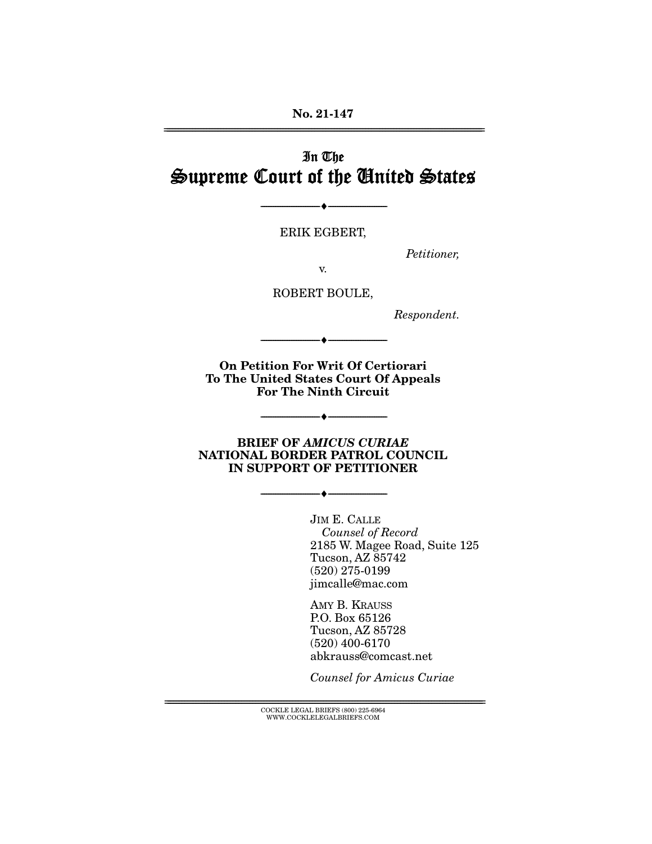**No. 21-147**  ================================================================================================================

# In The Supreme Court of the United States

ERIK EGBERT,

--------------------------------- ♦ ---------------------------------

Petitioner,

v.

ROBERT BOULE,

Respondent.

**On Petition For Writ Of Certiorari To The United States Court Of Appeals For The Ninth Circuit** 

--------------------------------- ♦ ---------------------------------

**BRIEF OF** *AMICUS CURIAE*  **NATIONAL BORDER PATROL COUNCIL IN SUPPORT OF PETITIONER** 

--------------------------------- ♦ ---------------------------------

--------------------------------- ♦ ---------------------------------

JIM E. CALLE Counsel of Record 2185 W. Magee Road, Suite 125 Tucson, AZ 85742 (520) 275-0199 jimcalle@mac.com

AMY B. KRAUSS P.O. Box 65126 Tucson, AZ 85728 (520) 400-6170 abkrauss@comcast.net

Counsel for Amicus Curiae

 ${ \rm COCKLE}$  LEGAL BRIEFS (800) 225-6964 WWW.COCKLELEGALBRIEFS.COM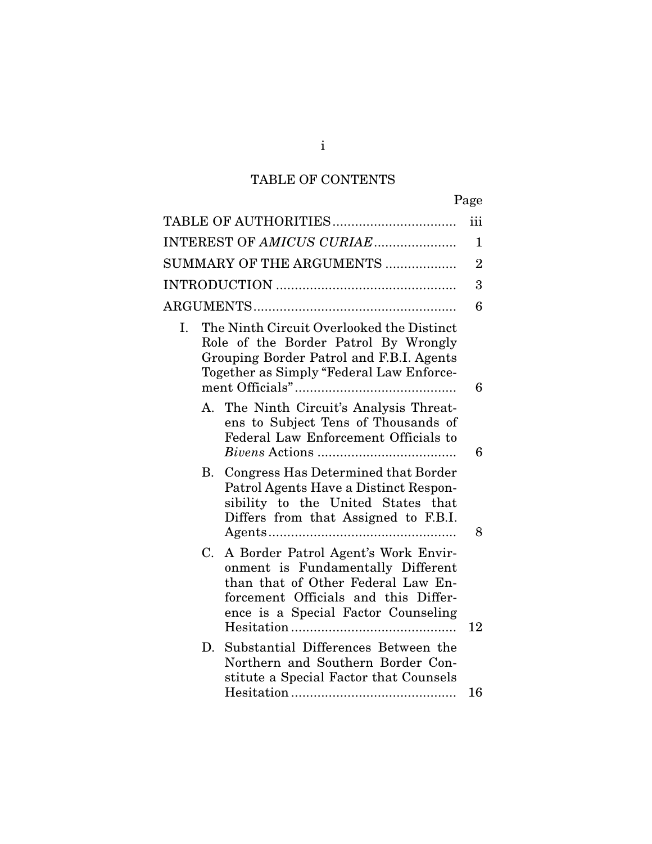# TABLE OF CONTENTS

|    |    |                                                                                                                                                                                               | iii            |
|----|----|-----------------------------------------------------------------------------------------------------------------------------------------------------------------------------------------------|----------------|
|    |    | INTEREST OF AMICUS CURIAE                                                                                                                                                                     | $\mathbf{1}$   |
|    |    | SUMMARY OF THE ARGUMENTS                                                                                                                                                                      | $\overline{2}$ |
|    |    |                                                                                                                                                                                               | 3              |
|    |    |                                                                                                                                                                                               | 6              |
| I. |    | The Ninth Circuit Overlooked the Distinct<br>Role of the Border Patrol By Wrongly<br>Grouping Border Patrol and F.B.I. Agents<br>Together as Simply "Federal Law Enforce-                     | 6              |
|    |    | A. The Ninth Circuit's Analysis Threat-<br>ens to Subject Tens of Thousands of<br>Federal Law Enforcement Officials to                                                                        | 6              |
|    |    | B. Congress Has Determined that Border<br>Patrol Agents Have a Distinct Respon-<br>sibility to the United States that<br>Differs from that Assigned to F.B.I.                                 | 8              |
|    | C. | A Border Patrol Agent's Work Envir-<br>onment is Fundamentally Different<br>than that of Other Federal Law En-<br>forcement Officials and this Differ-<br>ence is a Special Factor Counseling | 12             |
|    | D. | Substantial Differences Between the<br>Northern and Southern Border Con-<br>stitute a Special Factor that Counsels                                                                            | 16             |
|    |    |                                                                                                                                                                                               |                |

i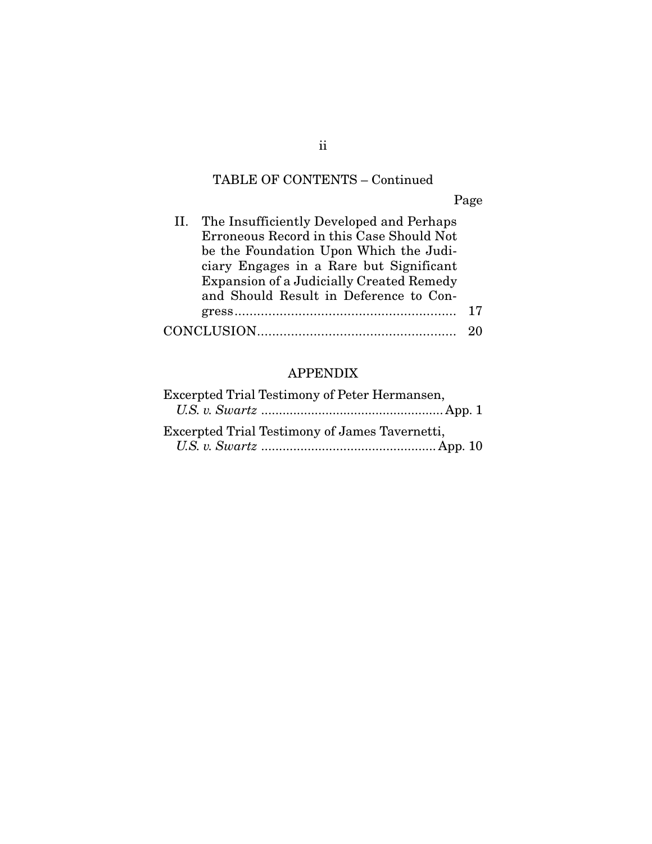# TABLE OF CONTENTS – Continued

Page

| The Insufficiently Developed and Perhaps<br>11.<br>Erroneous Record in this Case Should Not |    |
|---------------------------------------------------------------------------------------------|----|
| be the Foundation Upon Which the Judi-                                                      |    |
| ciary Engages in a Rare but Significant                                                     |    |
| Expansion of a Judicially Created Remedy                                                    |    |
| and Should Result in Deference to Con-                                                      |    |
|                                                                                             | 17 |
|                                                                                             |    |

# APPENDIX

| Excerpted Trial Testimony of Peter Hermansen,  |  |
|------------------------------------------------|--|
|                                                |  |
| Excerpted Trial Testimony of James Tavernetti, |  |
|                                                |  |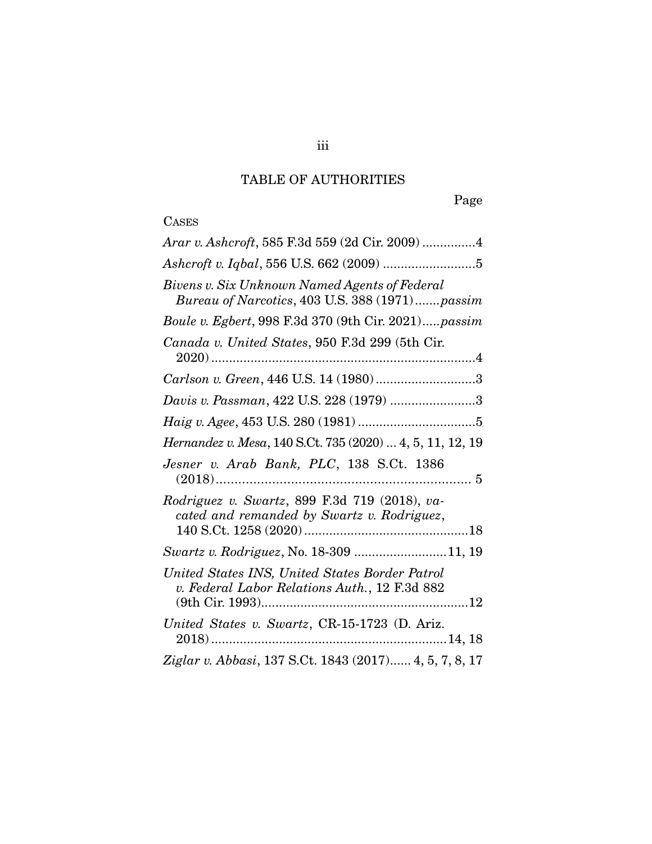# TABLE OF AUTHORITIES

Page

# **CASES**

| Arar v. Ashcroft, 585 F.3d 559 (2d Cir. 2009) 4                                                 |
|-------------------------------------------------------------------------------------------------|
|                                                                                                 |
| Bivens v. Six Unknown Named Agents of Federal<br>Bureau of Narcotics, 403 U.S. 388 (1971)passim |
| Boule v. Egbert, 998 F.3d 370 (9th Cir. 2021)passim                                             |
| Canada v. United States, 950 F.3d 299 (5th Cir.                                                 |
| Carlson v. Green, 446 U.S. 14 (1980)3                                                           |
| Davis v. Passman, 422 U.S. 228 (1979) 3                                                         |
|                                                                                                 |
| Hernandez v. Mesa, 140 S.Ct. 735 (2020)  4, 5, 11, 12, 19                                       |
| Jesner v. Arab Bank, PLC, 138 S.Ct. 1386                                                        |
| Rodriguez v. Swartz, 899 F.3d 719 (2018), va-<br>cated and remanded by Swartz v. Rodriguez,     |
| Swartz v. Rodriguez, No. 18-309 11, 19                                                          |
| United States INS, United States Border Patrol<br>v. Federal Labor Relations Auth., 12 F.3d 882 |
| United States v. Swartz, CR-15-1723 (D. Ariz.                                                   |
| Ziglar v. Abbasi, 137 S.Ct. 1843 (2017) 4, 5, 7, 8, 17                                          |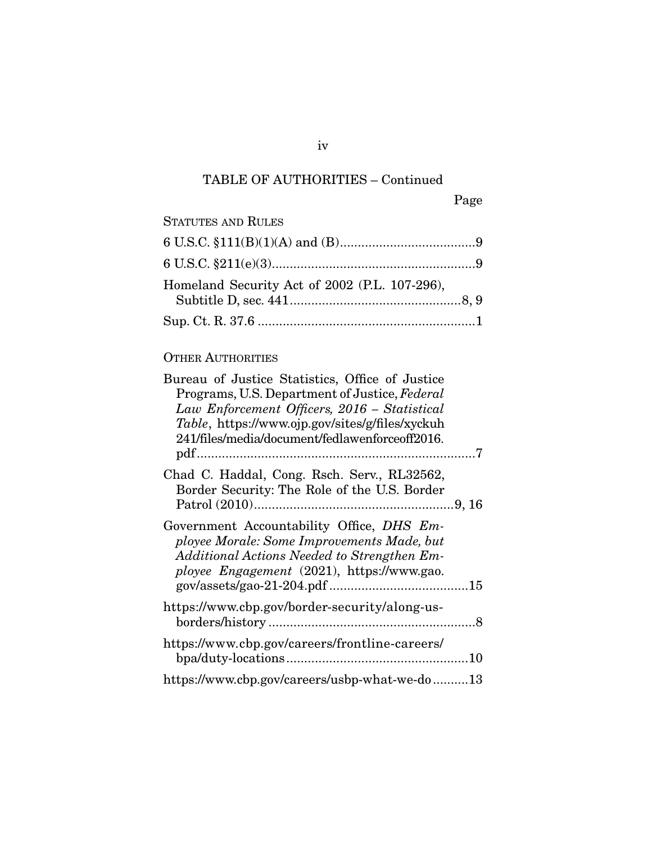# TABLE OF AUTHORITIES – Continued

| <b>STATUTES AND RULES</b>                     |  |
|-----------------------------------------------|--|
|                                               |  |
|                                               |  |
| Homeland Security Act of 2002 (P.L. 107-296), |  |
|                                               |  |

## OTHER AUTHORITIES

| Bureau of Justice Statistics, Office of Justice<br>Programs, U.S. Department of Justice, Federal<br>Law Enforcement Officers, 2016 - Statistical<br>Table, https://www.ojp.gov/sites/g/files/xyckuh<br>241/files/media/document/fedlawenforceoff2016. |  |
|-------------------------------------------------------------------------------------------------------------------------------------------------------------------------------------------------------------------------------------------------------|--|
| Chad C. Haddal, Cong. Rsch. Serv., RL32562,<br>Border Security: The Role of the U.S. Border                                                                                                                                                           |  |
| Government Accountability Office, DHS Em-<br>ployee Morale: Some Improvements Made, but<br>Additional Actions Needed to Strengthen Em-<br>ployee Engagement (2021), https://www.gao.                                                                  |  |
| https://www.cbp.gov/border-security/along-us-                                                                                                                                                                                                         |  |
| https://www.cbp.gov/careers/frontline-careers/                                                                                                                                                                                                        |  |
| https://www.cbp.gov/careers/usbp-what-we-do13                                                                                                                                                                                                         |  |

iv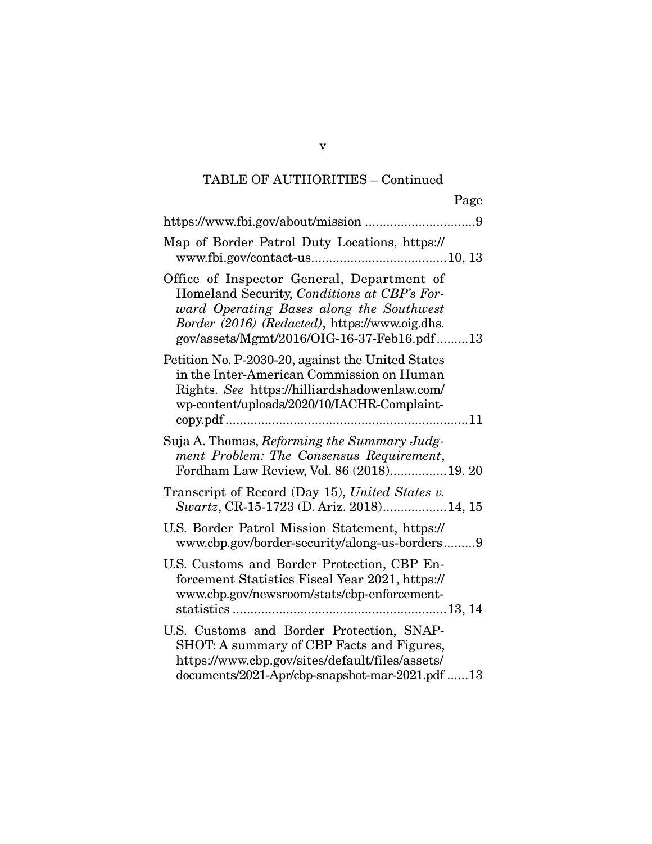# TABLE OF AUTHORITIES – Continued

|                                                                                                                                                                                                                                       | Page |
|---------------------------------------------------------------------------------------------------------------------------------------------------------------------------------------------------------------------------------------|------|
|                                                                                                                                                                                                                                       |      |
| Map of Border Patrol Duty Locations, https://                                                                                                                                                                                         |      |
| Office of Inspector General, Department of<br>Homeland Security, Conditions at CBP's For-<br>ward Operating Bases along the Southwest<br>Border (2016) (Redacted), https://www.oig.dhs.<br>gov/assets/Mgmt/2016/OIG-16-37-Feb16.pdf13 |      |
| Petition No. P-2030-20, against the United States<br>in the Inter-American Commission on Human<br>Rights. See https://hilliardshadowenlaw.com/<br>wp-content/uploads/2020/10/IACHR-Complaint-                                         |      |
| Suja A. Thomas, Reforming the Summary Judg-<br>ment Problem: The Consensus Requirement,<br>Fordham Law Review, Vol. 86 (2018)19. 20                                                                                                   |      |
| Transcript of Record (Day 15), United States v.<br>Swartz, CR-15-1723 (D. Ariz. 2018)14, 15                                                                                                                                           |      |
| U.S. Border Patrol Mission Statement, https://<br>www.cbp.gov/border-security/along-us-borders9                                                                                                                                       |      |
| U.S. Customs and Border Protection, CBP En-<br>forcement Statistics Fiscal Year 2021, https://<br>www.cbp.gov/newsroom/stats/cbp-enforcement-                                                                                         |      |
| U.S. Customs and Border Protection, SNAP-<br>SHOT: A summary of CBP Facts and Figures,<br>https://www.cbp.gov/sites/default/files/assets/<br>documents/2021-Apr/cbp-snapshot-mar-2021.pdf 13                                          |      |

v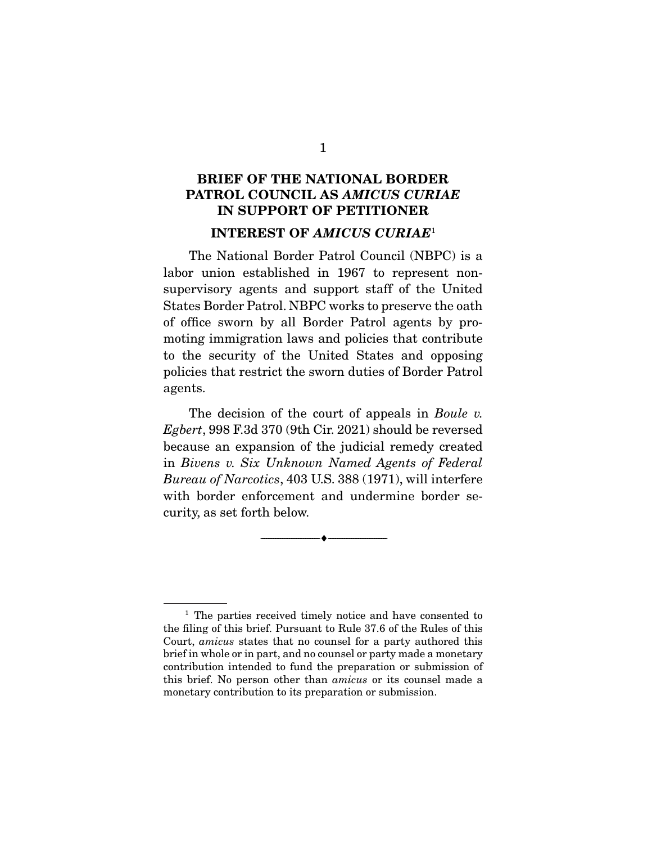## **BRIEF OF THE NATIONAL BORDER PATROL COUNCIL AS** *AMICUS CURIAE*  **IN SUPPORT OF PETITIONER INTEREST OF** *AMICUS CURIAE*<sup>1</sup>

 The National Border Patrol Council (NBPC) is a labor union established in 1967 to represent nonsupervisory agents and support staff of the United States Border Patrol. NBPC works to preserve the oath of office sworn by all Border Patrol agents by promoting immigration laws and policies that contribute to the security of the United States and opposing policies that restrict the sworn duties of Border Patrol agents.

 The decision of the court of appeals in *Boule v. Egbert*, 998 F.3d 370 (9th Cir. 2021) should be reversed because an expansion of the judicial remedy created in *Bivens v. Six Unknown Named Agents of Federal Bureau of Narcotics*, 403 U.S. 388 (1971), will interfere with border enforcement and undermine border security, as set forth below.

--------------------------------- ♦ ---------------------------------

<sup>1</sup> The parties received timely notice and have consented to the filing of this brief. Pursuant to Rule 37.6 of the Rules of this Court, *amicus* states that no counsel for a party authored this brief in whole or in part, and no counsel or party made a monetary contribution intended to fund the preparation or submission of this brief. No person other than *amicus* or its counsel made a monetary contribution to its preparation or submission.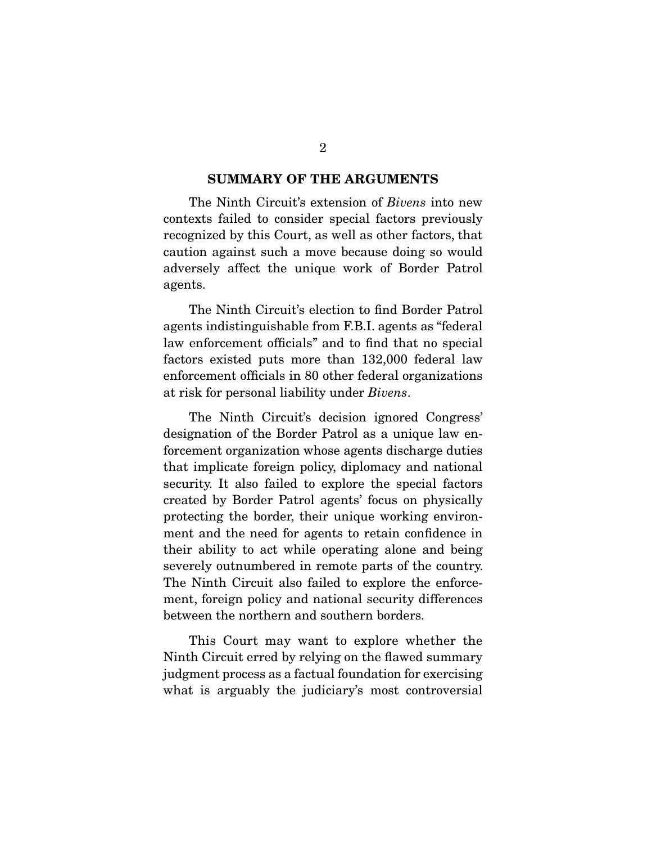#### **SUMMARY OF THE ARGUMENTS**

 The Ninth Circuit's extension of *Bivens* into new contexts failed to consider special factors previously recognized by this Court, as well as other factors, that caution against such a move because doing so would adversely affect the unique work of Border Patrol agents.

 The Ninth Circuit's election to find Border Patrol agents indistinguishable from F.B.I. agents as "federal law enforcement officials" and to find that no special factors existed puts more than 132,000 federal law enforcement officials in 80 other federal organizations at risk for personal liability under *Bivens*.

 The Ninth Circuit's decision ignored Congress' designation of the Border Patrol as a unique law enforcement organization whose agents discharge duties that implicate foreign policy, diplomacy and national security. It also failed to explore the special factors created by Border Patrol agents' focus on physically protecting the border, their unique working environment and the need for agents to retain confidence in their ability to act while operating alone and being severely outnumbered in remote parts of the country. The Ninth Circuit also failed to explore the enforcement, foreign policy and national security differences between the northern and southern borders.

 This Court may want to explore whether the Ninth Circuit erred by relying on the flawed summary judgment process as a factual foundation for exercising what is arguably the judiciary's most controversial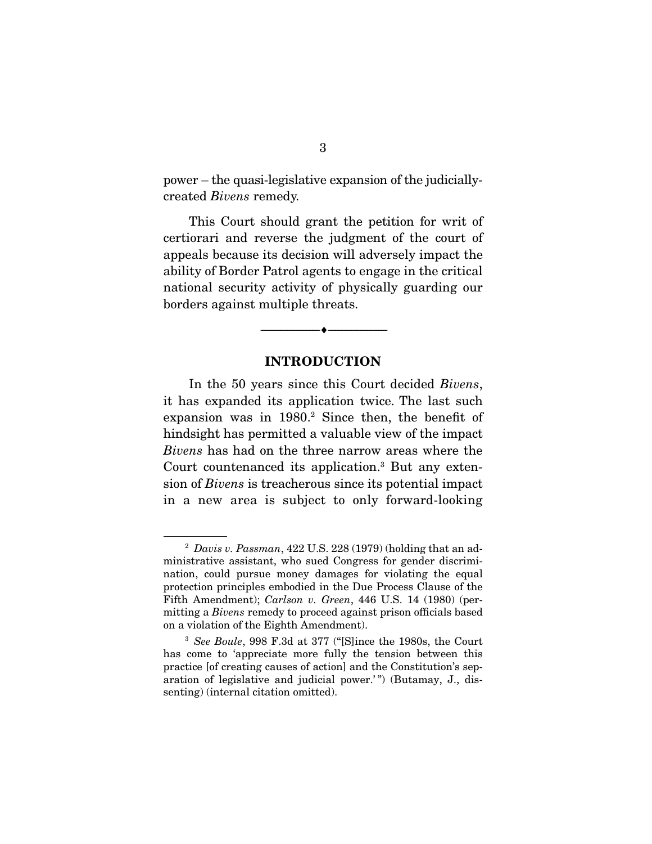power – the quasi-legislative expansion of the judiciallycreated *Bivens* remedy.

 This Court should grant the petition for writ of certiorari and reverse the judgment of the court of appeals because its decision will adversely impact the ability of Border Patrol agents to engage in the critical national security activity of physically guarding our borders against multiple threats.

#### **INTRODUCTION**

--------------------------------- ♦ ---------------------------------

 In the 50 years since this Court decided *Bivens*, it has expanded its application twice. The last such expansion was in 1980.<sup>2</sup> Since then, the benefit of hindsight has permitted a valuable view of the impact *Bivens* has had on the three narrow areas where the Court countenanced its application.3 But any extension of *Bivens* is treacherous since its potential impact in a new area is subject to only forward-looking

<sup>2</sup> *Davis v. Passman*, 422 U.S. 228 (1979) (holding that an administrative assistant, who sued Congress for gender discrimination, could pursue money damages for violating the equal protection principles embodied in the Due Process Clause of the Fifth Amendment); *Carlson v. Green*, 446 U.S. 14 (1980) (permitting a *Bivens* remedy to proceed against prison officials based on a violation of the Eighth Amendment).

<sup>3</sup> *See Boule*, 998 F.3d at 377 ("[S]ince the 1980s, the Court has come to 'appreciate more fully the tension between this practice [of creating causes of action] and the Constitution's separation of legislative and judicial power.'") (Butamay, J., dissenting) (internal citation omitted).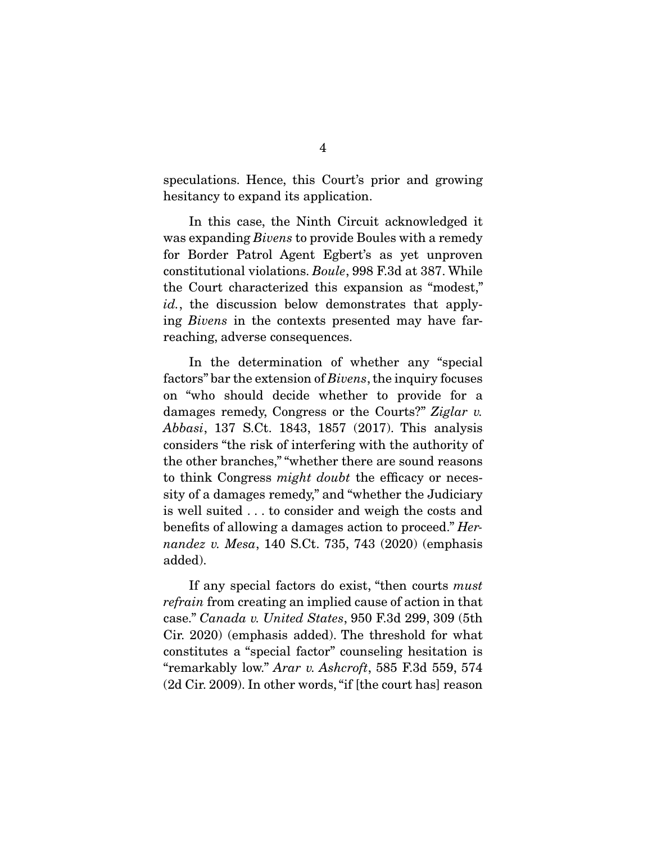speculations. Hence, this Court's prior and growing hesitancy to expand its application.

 In this case, the Ninth Circuit acknowledged it was expanding *Bivens* to provide Boules with a remedy for Border Patrol Agent Egbert's as yet unproven constitutional violations. *Boule*, 998 F.3d at 387. While the Court characterized this expansion as "modest," *id.*, the discussion below demonstrates that applying *Bivens* in the contexts presented may have farreaching, adverse consequences.

 In the determination of whether any "special factors" bar the extension of *Bivens*, the inquiry focuses on "who should decide whether to provide for a damages remedy, Congress or the Courts?" *Ziglar v. Abbasi*, 137 S.Ct. 1843, 1857 (2017). This analysis considers "the risk of interfering with the authority of the other branches," "whether there are sound reasons to think Congress *might doubt* the efficacy or necessity of a damages remedy," and "whether the Judiciary is well suited . . . to consider and weigh the costs and benefits of allowing a damages action to proceed." *Hernandez v. Mesa*, 140 S.Ct. 735, 743 (2020) (emphasis added).

 If any special factors do exist, "then courts *must refrain* from creating an implied cause of action in that case." *Canada v. United States*, 950 F.3d 299, 309 (5th Cir. 2020) (emphasis added). The threshold for what constitutes a "special factor" counseling hesitation is "remarkably low." *Arar v. Ashcroft*, 585 F.3d 559, 574 (2d Cir. 2009). In other words, "if [the court has] reason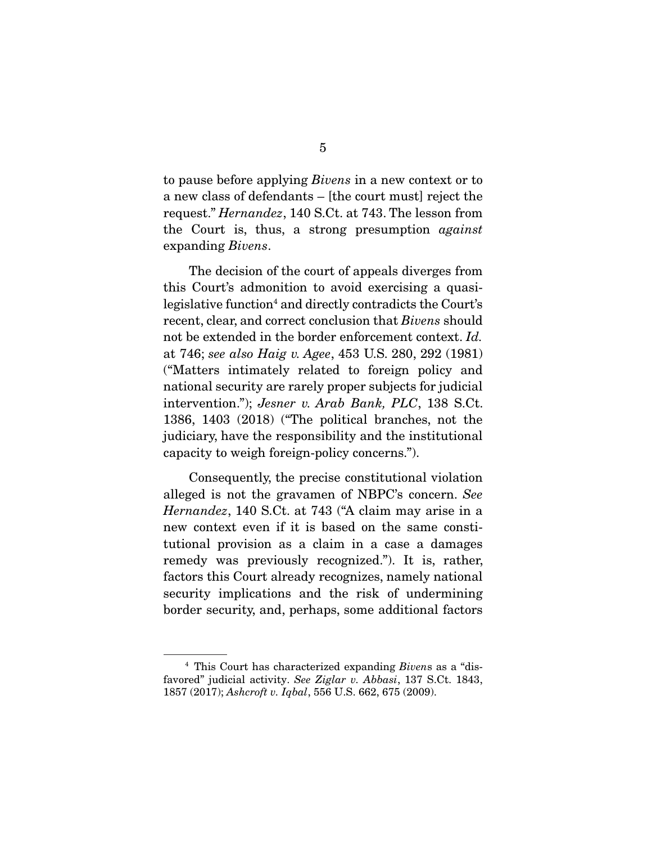to pause before applying *Bivens* in a new context or to a new class of defendants – [the court must] reject the request." *Hernandez*, 140 S.Ct. at 743. The lesson from the Court is, thus, a strong presumption *against*  expanding *Bivens*.

 The decision of the court of appeals diverges from this Court's admonition to avoid exercising a quasilegislative function<sup>4</sup> and directly contradicts the Court's recent, clear, and correct conclusion that *Bivens* should not be extended in the border enforcement context. *Id.* at 746; *see also Haig v. Agee*, 453 U.S. 280, 292 (1981) ("Matters intimately related to foreign policy and national security are rarely proper subjects for judicial intervention."); *Jesner v. Arab Bank, PLC*, 138 S.Ct. 1386, 1403 (2018) ("The political branches, not the judiciary, have the responsibility and the institutional capacity to weigh foreign-policy concerns.").

 Consequently, the precise constitutional violation alleged is not the gravamen of NBPC's concern. *See Hernandez*, 140 S.Ct. at 743 ("A claim may arise in a new context even if it is based on the same constitutional provision as a claim in a case a damages remedy was previously recognized."). It is, rather, factors this Court already recognizes, namely national security implications and the risk of undermining border security, and, perhaps, some additional factors

<sup>4</sup> This Court has characterized expanding *Biven*s as a "disfavored" judicial activity. *See Ziglar v. Abbasi*, 137 S.Ct. 1843, 1857 (2017); *Ashcroft v. Iqbal*, 556 U.S. 662, 675 (2009).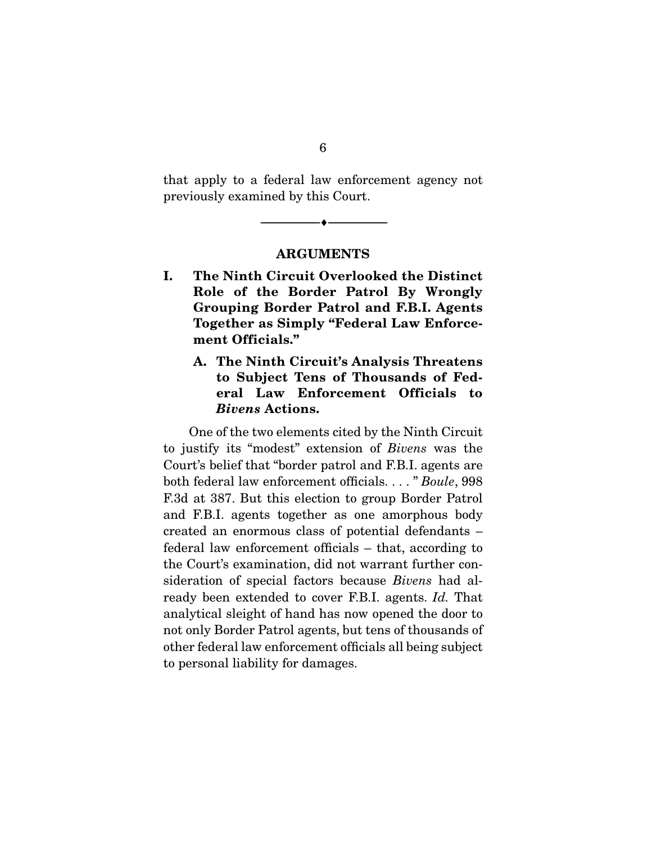that apply to a federal law enforcement agency not previously examined by this Court.

#### **ARGUMENTS**

--------------------------------- ♦ ---------------------------------

- **I. The Ninth Circuit Overlooked the Distinct Role of the Border Patrol By Wrongly Grouping Border Patrol and F.B.I. Agents Together as Simply "Federal Law Enforcement Officials."** 
	- **A. The Ninth Circuit's Analysis Threatens to Subject Tens of Thousands of Federal Law Enforcement Officials to**  *Bivens* **Actions.**

 One of the two elements cited by the Ninth Circuit to justify its "modest" extension of *Bivens* was the Court's belief that "border patrol and F.B.I. agents are both federal law enforcement officials. . . . " *Boule*, 998 F.3d at 387. But this election to group Border Patrol and F.B.I. agents together as one amorphous body created an enormous class of potential defendants – federal law enforcement officials – that, according to the Court's examination, did not warrant further consideration of special factors because *Bivens* had already been extended to cover F.B.I. agents. *Id.* That analytical sleight of hand has now opened the door to not only Border Patrol agents, but tens of thousands of other federal law enforcement officials all being subject to personal liability for damages.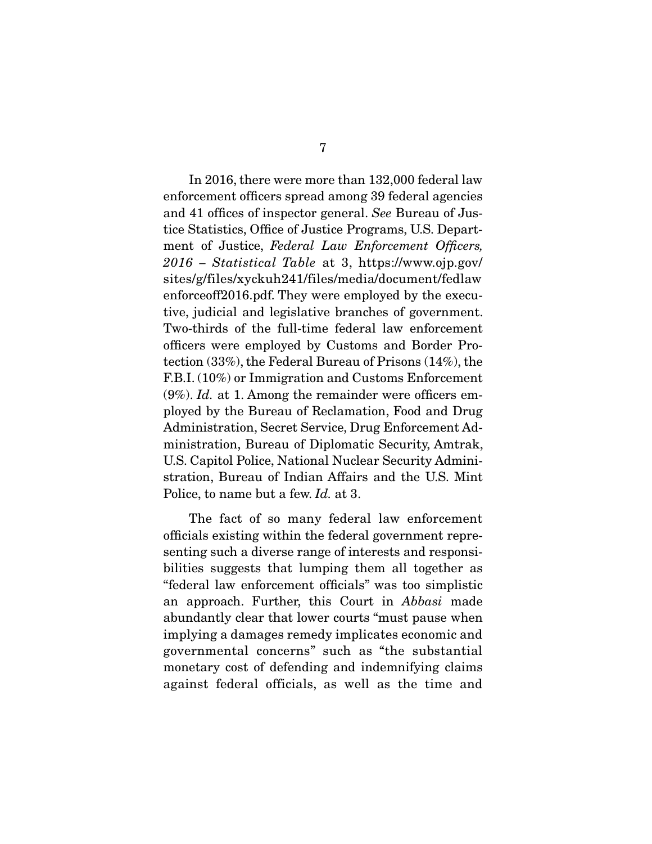In 2016, there were more than 132,000 federal law enforcement officers spread among 39 federal agencies and 41 offices of inspector general. *See* Bureau of Justice Statistics, Office of Justice Programs, U.S. Department of Justice, *Federal Law Enforcement Officers, 2016 – Statistical Table* at 3, https://www.ojp.gov/ sites/g/files/xyckuh241/files/media/document/fedlaw enforceoff2016.pdf. They were employed by the executive, judicial and legislative branches of government. Two-thirds of the full-time federal law enforcement officers were employed by Customs and Border Protection (33%), the Federal Bureau of Prisons (14%), the F.B.I. (10%) or Immigration and Customs Enforcement (9%). *Id.* at 1. Among the remainder were officers employed by the Bureau of Reclamation, Food and Drug Administration, Secret Service, Drug Enforcement Administration, Bureau of Diplomatic Security, Amtrak, U.S. Capitol Police, National Nuclear Security Administration, Bureau of Indian Affairs and the U.S. Mint Police, to name but a few. *Id.* at 3.

 The fact of so many federal law enforcement officials existing within the federal government representing such a diverse range of interests and responsibilities suggests that lumping them all together as "federal law enforcement officials" was too simplistic an approach. Further, this Court in *Abbasi* made abundantly clear that lower courts "must pause when implying a damages remedy implicates economic and governmental concerns" such as "the substantial monetary cost of defending and indemnifying claims against federal officials, as well as the time and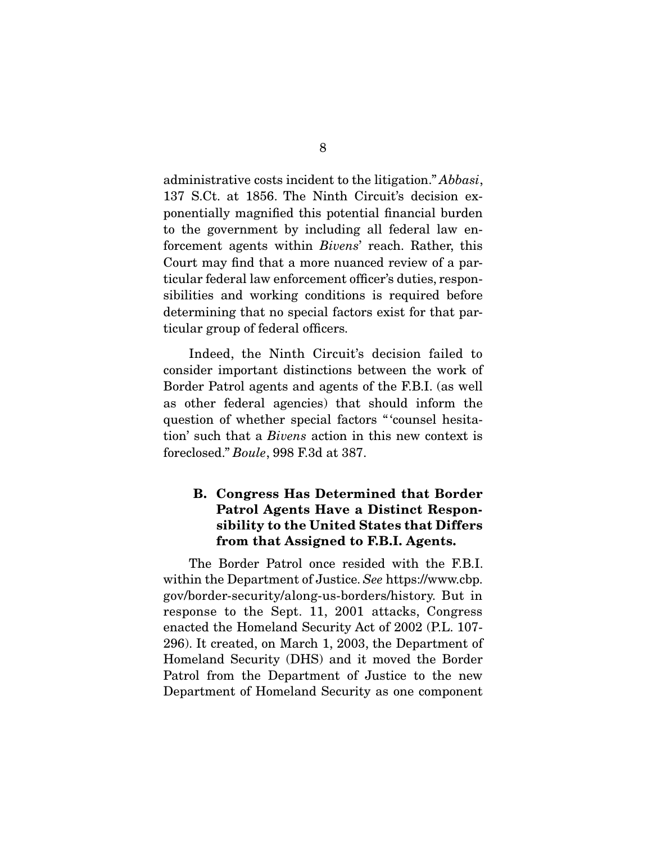administrative costs incident to the litigation." *Abbasi*, 137 S.Ct. at 1856. The Ninth Circuit's decision exponentially magnified this potential financial burden to the government by including all federal law enforcement agents within *Bivens*' reach. Rather, this Court may find that a more nuanced review of a particular federal law enforcement officer's duties, responsibilities and working conditions is required before determining that no special factors exist for that particular group of federal officers.

 Indeed, the Ninth Circuit's decision failed to consider important distinctions between the work of Border Patrol agents and agents of the F.B.I. (as well as other federal agencies) that should inform the question of whether special factors " 'counsel hesitation' such that a *Bivens* action in this new context is foreclosed." *Boule*, 998 F.3d at 387.

### **B. Congress Has Determined that Border Patrol Agents Have a Distinct Responsibility to the United States that Differs from that Assigned to F.B.I. Agents.**

 The Border Patrol once resided with the F.B.I. within the Department of Justice. *See* https://www.cbp. gov/border-security/along-us-borders/history. But in response to the Sept. 11, 2001 attacks, Congress enacted the Homeland Security Act of 2002 (P.L. 107- 296). It created, on March 1, 2003, the Department of Homeland Security (DHS) and it moved the Border Patrol from the Department of Justice to the new Department of Homeland Security as one component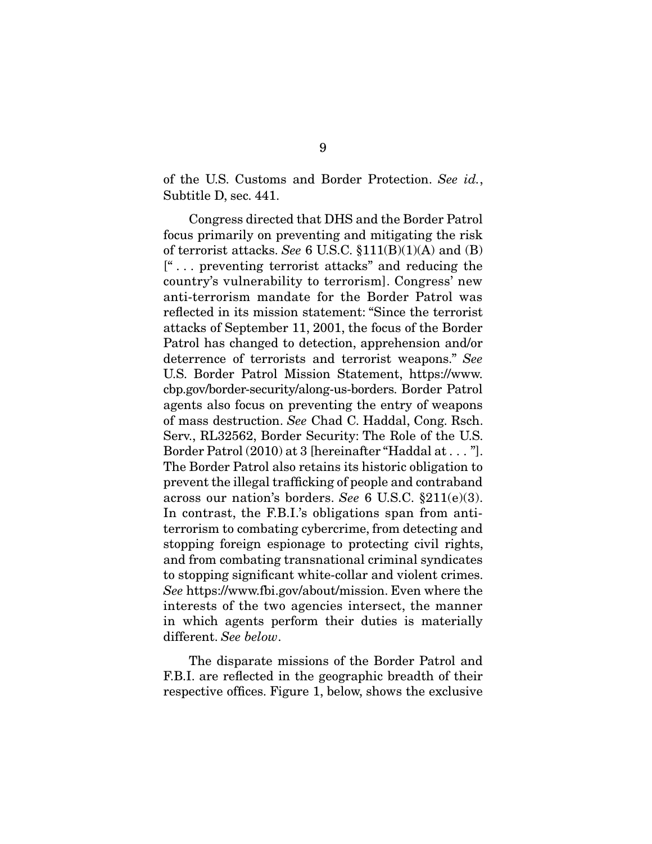of the U.S. Customs and Border Protection. *See id.*, Subtitle D, sec. 441.

 Congress directed that DHS and the Border Patrol focus primarily on preventing and mitigating the risk of terrorist attacks. *See* 6 U.S.C. §111(B)(1)(A) and (B) [" . . . preventing terrorist attacks" and reducing the country's vulnerability to terrorism]. Congress' new anti-terrorism mandate for the Border Patrol was reflected in its mission statement: "Since the terrorist attacks of September 11, 2001, the focus of the Border Patrol has changed to detection, apprehension and/or deterrence of terrorists and terrorist weapons." *See* U.S. Border Patrol Mission Statement, https://www. cbp.gov/border-security/along-us-borders. Border Patrol agents also focus on preventing the entry of weapons of mass destruction. *See* Chad C. Haddal, Cong. Rsch. Serv., RL32562, Border Security: The Role of the U.S. Border Patrol (2010) at 3 [hereinafter "Haddal at . . . "]. The Border Patrol also retains its historic obligation to prevent the illegal trafficking of people and contraband across our nation's borders. *See* 6 U.S.C. §211(e)(3). In contrast, the F.B.I.'s obligations span from antiterrorism to combating cybercrime, from detecting and stopping foreign espionage to protecting civil rights, and from combating transnational criminal syndicates to stopping significant white-collar and violent crimes. *See* https://www.fbi.gov/about/mission. Even where the interests of the two agencies intersect, the manner in which agents perform their duties is materially different. *See below*.

 The disparate missions of the Border Patrol and F.B.I. are reflected in the geographic breadth of their respective offices. Figure 1, below, shows the exclusive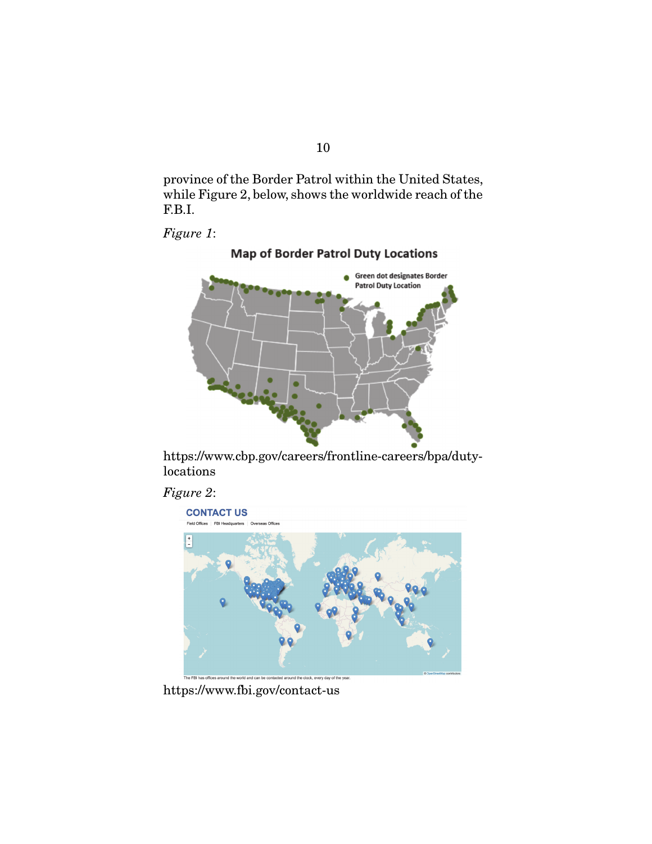province of the Border Patrol within the United States, while Figure 2, below, shows the worldwide reach of the F.B.I.

*Figure 1*:



https://www.cbp.gov/careers/frontline-careers/bpa/dutylocations





https://www.fbi.gov/contact-us

10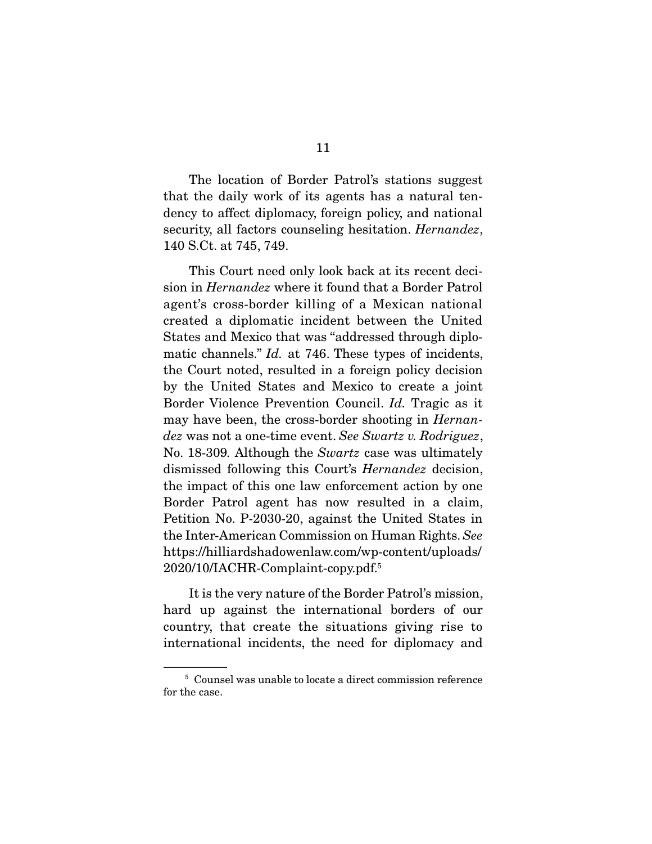The location of Border Patrol's stations suggest that the daily work of its agents has a natural tendency to affect diplomacy, foreign policy, and national security, all factors counseling hesitation. *Hernandez*, 140 S.Ct. at 745, 749.

 This Court need only look back at its recent decision in *Hernandez* where it found that a Border Patrol agent's cross-border killing of a Mexican national created a diplomatic incident between the United States and Mexico that was "addressed through diplomatic channels." *Id.* at 746. These types of incidents, the Court noted, resulted in a foreign policy decision by the United States and Mexico to create a joint Border Violence Prevention Council. *Id.* Tragic as it may have been, the cross-border shooting in *Hernandez* was not a one-time event. *See Swartz v. Rodriguez*, No. 18-309*.* Although the *Swartz* case was ultimately dismissed following this Court's *Hernandez* decision, the impact of this one law enforcement action by one Border Patrol agent has now resulted in a claim, Petition No. P-2030-20, against the United States in the Inter-American Commission on Human Rights. *See*  https://hilliardshadowenlaw.com/wp-content/uploads/ 2020/10/IACHR-Complaint-copy.pdf.5

 It is the very nature of the Border Patrol's mission, hard up against the international borders of our country, that create the situations giving rise to international incidents, the need for diplomacy and

<sup>5</sup> Counsel was unable to locate a direct commission reference for the case.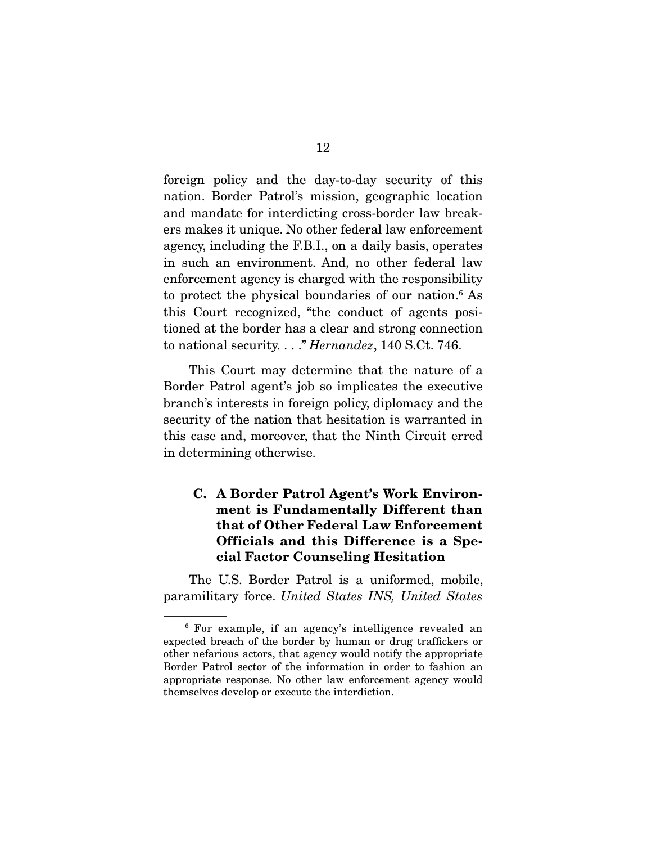foreign policy and the day-to-day security of this nation. Border Patrol's mission, geographic location and mandate for interdicting cross-border law breakers makes it unique. No other federal law enforcement agency, including the F.B.I., on a daily basis, operates in such an environment. And, no other federal law enforcement agency is charged with the responsibility to protect the physical boundaries of our nation.6 As this Court recognized, "the conduct of agents positioned at the border has a clear and strong connection to national security. . . ." *Hernandez*, 140 S.Ct. 746.

 This Court may determine that the nature of a Border Patrol agent's job so implicates the executive branch's interests in foreign policy, diplomacy and the security of the nation that hesitation is warranted in this case and, moreover, that the Ninth Circuit erred in determining otherwise.

### **C. A Border Patrol Agent's Work Environment is Fundamentally Different than that of Other Federal Law Enforcement Officials and this Difference is a Special Factor Counseling Hesitation**

 The U.S. Border Patrol is a uniformed, mobile, paramilitary force. *United States INS, United States* 

<sup>6</sup> For example, if an agency's intelligence revealed an expected breach of the border by human or drug traffickers or other nefarious actors, that agency would notify the appropriate Border Patrol sector of the information in order to fashion an appropriate response. No other law enforcement agency would themselves develop or execute the interdiction.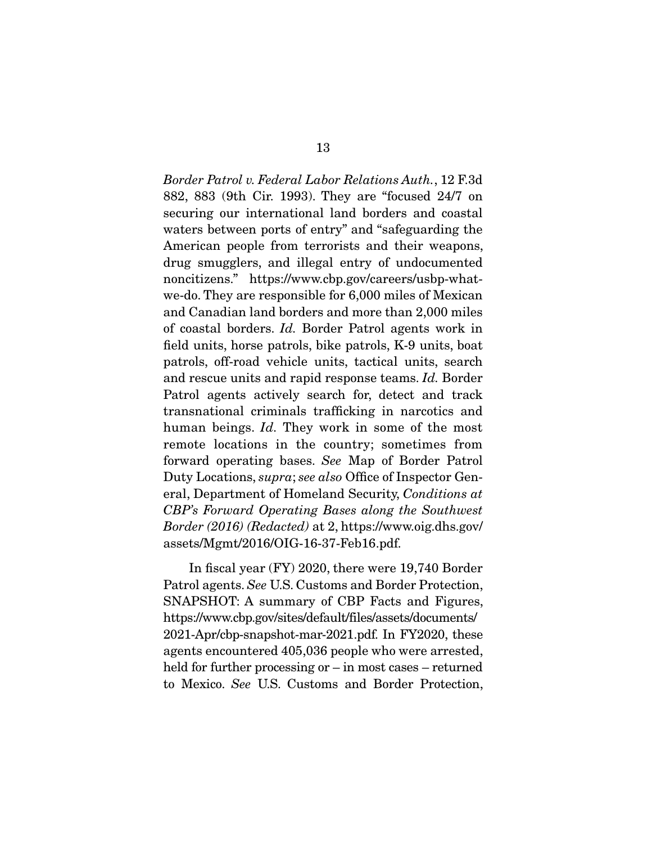*Border Patrol v. Federal Labor Relations Auth.*, 12 F.3d 882, 883 (9th Cir. 1993). They are "focused 24/7 on securing our international land borders and coastal waters between ports of entry" and "safeguarding the American people from terrorists and their weapons, drug smugglers, and illegal entry of undocumented noncitizens." https://www.cbp.gov/careers/usbp-whatwe-do. They are responsible for 6,000 miles of Mexican and Canadian land borders and more than 2,000 miles of coastal borders. *Id.* Border Patrol agents work in field units, horse patrols, bike patrols, K-9 units, boat patrols, off-road vehicle units, tactical units, search and rescue units and rapid response teams. *Id.* Border Patrol agents actively search for, detect and track transnational criminals trafficking in narcotics and human beings. *Id.* They work in some of the most remote locations in the country; sometimes from forward operating bases. *See* Map of Border Patrol Duty Locations, *supra*; *see also* Office of Inspector General, Department of Homeland Security, *Conditions at CBP's Forward Operating Bases along the Southwest Border (2016) (Redacted)* at 2, https://www.oig.dhs.gov/ assets/Mgmt/2016/OIG-16-37-Feb16.pdf.

 In fiscal year (FY) 2020, there were 19,740 Border Patrol agents. *See* U.S. Customs and Border Protection, SNAPSHOT: A summary of CBP Facts and Figures, https://www.cbp.gov/sites/default/files/assets/documents/ 2021-Apr/cbp-snapshot-mar-2021.pdf. In FY2020, these agents encountered 405,036 people who were arrested, held for further processing or – in most cases – returned to Mexico. *See* U.S. Customs and Border Protection,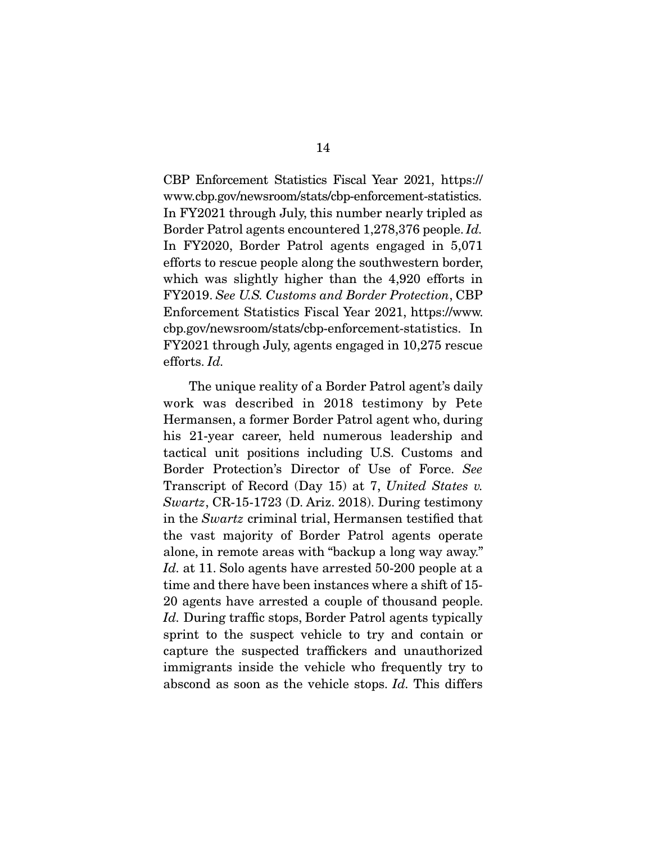CBP Enforcement Statistics Fiscal Year 2021, https:// www.cbp.gov/newsroom/stats/cbp-enforcement-statistics. In FY2021 through July, this number nearly tripled as Border Patrol agents encountered 1,278,376 people. *Id.* In FY2020, Border Patrol agents engaged in 5,071 efforts to rescue people along the southwestern border, which was slightly higher than the 4,920 efforts in FY2019. *See U.S. Customs and Border Protection*, CBP Enforcement Statistics Fiscal Year 2021, https://www. cbp.gov/newsroom/stats/cbp-enforcement-statistics. In FY2021 through July, agents engaged in 10,275 rescue efforts. *Id.*

 The unique reality of a Border Patrol agent's daily work was described in 2018 testimony by Pete Hermansen, a former Border Patrol agent who, during his 21-year career, held numerous leadership and tactical unit positions including U.S. Customs and Border Protection's Director of Use of Force. *See*  Transcript of Record (Day 15) at 7, *United States v. Swartz*, CR-15-1723 (D. Ariz. 2018). During testimony in the *Swartz* criminal trial, Hermansen testified that the vast majority of Border Patrol agents operate alone, in remote areas with "backup a long way away." *Id.* at 11. Solo agents have arrested 50-200 people at a time and there have been instances where a shift of 15- 20 agents have arrested a couple of thousand people. *Id.* During traffic stops, Border Patrol agents typically sprint to the suspect vehicle to try and contain or capture the suspected traffickers and unauthorized immigrants inside the vehicle who frequently try to abscond as soon as the vehicle stops. *Id.* This differs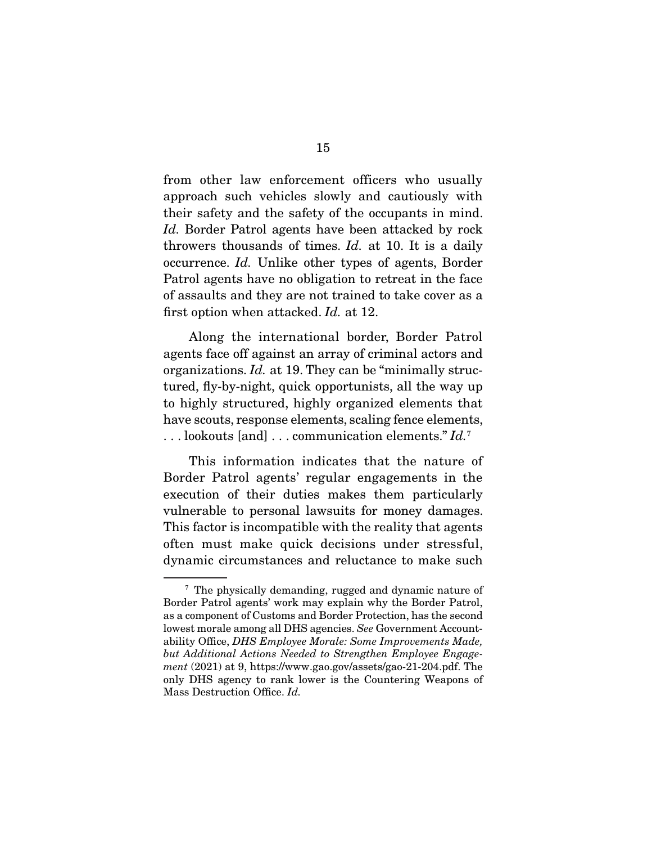from other law enforcement officers who usually approach such vehicles slowly and cautiously with their safety and the safety of the occupants in mind. *Id.* Border Patrol agents have been attacked by rock throwers thousands of times. *Id.* at 10. It is a daily occurrence. *Id.* Unlike other types of agents, Border Patrol agents have no obligation to retreat in the face of assaults and they are not trained to take cover as a first option when attacked. *Id.* at 12.

 Along the international border, Border Patrol agents face off against an array of criminal actors and organizations. *Id.* at 19. They can be "minimally structured, fly-by-night, quick opportunists, all the way up to highly structured, highly organized elements that have scouts, response elements, scaling fence elements, . . . lookouts [and] . . . communication elements." *Id.*<sup>7</sup>

 This information indicates that the nature of Border Patrol agents' regular engagements in the execution of their duties makes them particularly vulnerable to personal lawsuits for money damages. This factor is incompatible with the reality that agents often must make quick decisions under stressful, dynamic circumstances and reluctance to make such

<sup>7</sup> The physically demanding, rugged and dynamic nature of Border Patrol agents' work may explain why the Border Patrol, as a component of Customs and Border Protection, has the second lowest morale among all DHS agencies. *See* Government Accountability Office, *DHS Employee Morale: Some Improvements Made, but Additional Actions Needed to Strengthen Employee Engagement* (2021) at 9, https://www.gao.gov/assets/gao-21-204.pdf. The only DHS agency to rank lower is the Countering Weapons of Mass Destruction Office. *Id.*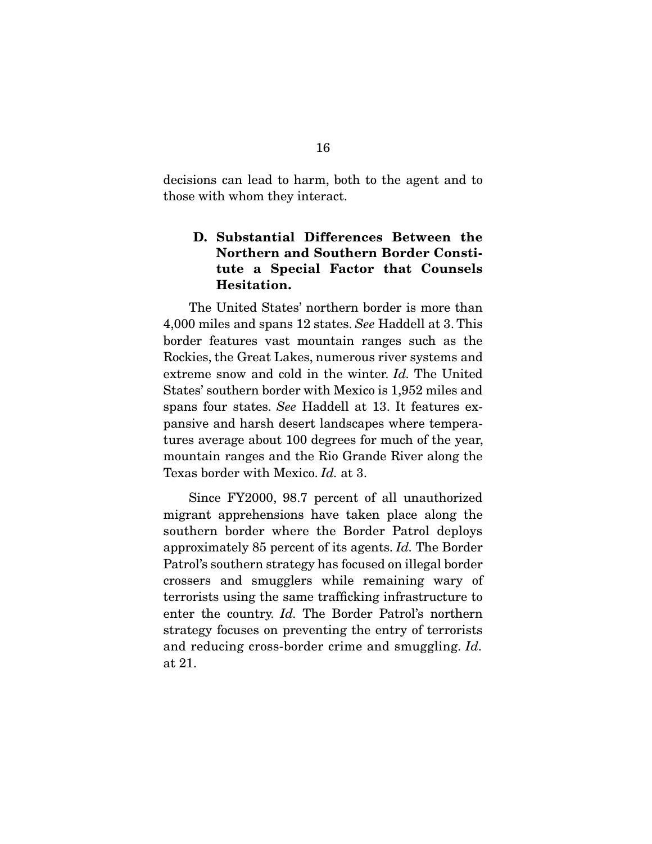decisions can lead to harm, both to the agent and to those with whom they interact.

## **D. Substantial Differences Between the Northern and Southern Border Constitute a Special Factor that Counsels Hesitation.**

 The United States' northern border is more than 4,000 miles and spans 12 states. *See* Haddell at 3. This border features vast mountain ranges such as the Rockies, the Great Lakes, numerous river systems and extreme snow and cold in the winter. *Id.* The United States' southern border with Mexico is 1,952 miles and spans four states. *See* Haddell at 13. It features expansive and harsh desert landscapes where temperatures average about 100 degrees for much of the year, mountain ranges and the Rio Grande River along the Texas border with Mexico. *Id.* at 3.

 Since FY2000, 98.7 percent of all unauthorized migrant apprehensions have taken place along the southern border where the Border Patrol deploys approximately 85 percent of its agents. *Id.* The Border Patrol's southern strategy has focused on illegal border crossers and smugglers while remaining wary of terrorists using the same trafficking infrastructure to enter the country. *Id.* The Border Patrol's northern strategy focuses on preventing the entry of terrorists and reducing cross-border crime and smuggling. *Id.*  at 21.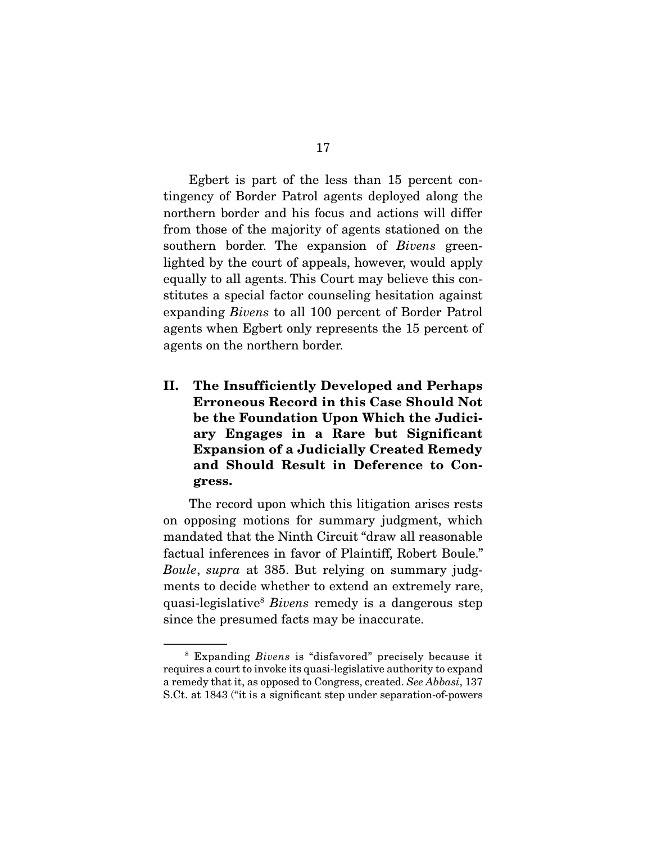Egbert is part of the less than 15 percent contingency of Border Patrol agents deployed along the northern border and his focus and actions will differ from those of the majority of agents stationed on the southern border. The expansion of *Bivens* greenlighted by the court of appeals, however, would apply equally to all agents. This Court may believe this constitutes a special factor counseling hesitation against expanding *Bivens* to all 100 percent of Border Patrol agents when Egbert only represents the 15 percent of agents on the northern border.

**II. The Insufficiently Developed and Perhaps Erroneous Record in this Case Should Not be the Foundation Upon Which the Judiciary Engages in a Rare but Significant Expansion of a Judicially Created Remedy and Should Result in Deference to Congress.** 

 The record upon which this litigation arises rests on opposing motions for summary judgment, which mandated that the Ninth Circuit "draw all reasonable factual inferences in favor of Plaintiff, Robert Boule." *Boule*, *supra* at 385. But relying on summary judgments to decide whether to extend an extremely rare, quasi-legislative8 *Bivens* remedy is a dangerous step since the presumed facts may be inaccurate.

<sup>8</sup> Expanding *Bivens* is "disfavored" precisely because it requires a court to invoke its quasi-legislative authority to expand a remedy that it, as opposed to Congress, created. *See Abbasi*, 137 S.Ct. at 1843 ("it is a significant step under separation-of-powers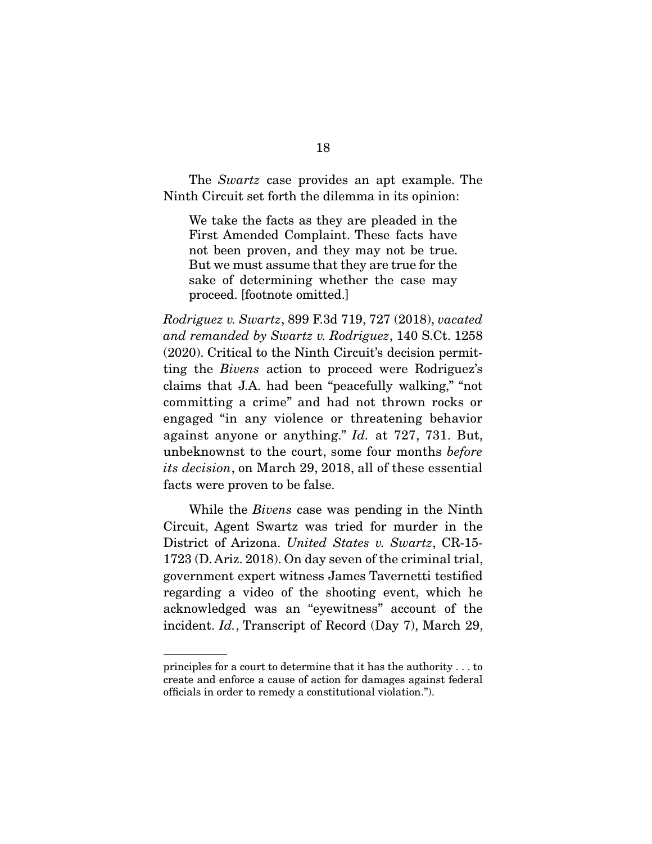The *Swartz* case provides an apt example. The Ninth Circuit set forth the dilemma in its opinion:

We take the facts as they are pleaded in the First Amended Complaint. These facts have not been proven, and they may not be true. But we must assume that they are true for the sake of determining whether the case may proceed. [footnote omitted.]

*Rodriguez v. Swartz*, 899 F.3d 719, 727 (2018), *vacated and remanded by Swartz v. Rodriguez*, 140 S.Ct. 1258 (2020). Critical to the Ninth Circuit's decision permitting the *Bivens* action to proceed were Rodriguez's claims that J.A. had been "peacefully walking," "not committing a crime" and had not thrown rocks or engaged "in any violence or threatening behavior against anyone or anything." *Id.* at 727, 731. But, unbeknownst to the court, some four months *before its decision*, on March 29, 2018, all of these essential facts were proven to be false.

 While the *Bivens* case was pending in the Ninth Circuit, Agent Swartz was tried for murder in the District of Arizona. *United States v. Swartz*, CR-15- 1723 (D. Ariz. 2018). On day seven of the criminal trial, government expert witness James Tavernetti testified regarding a video of the shooting event, which he acknowledged was an "eyewitness" account of the incident. *Id.*, Transcript of Record (Day 7), March 29,

principles for a court to determine that it has the authority . . . to create and enforce a cause of action for damages against federal officials in order to remedy a constitutional violation.").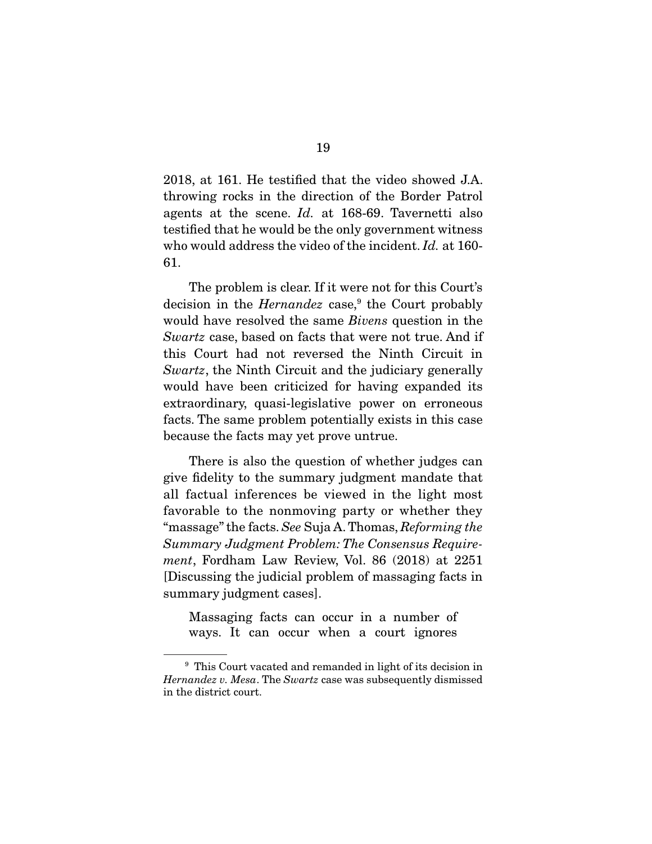2018, at 161. He testified that the video showed J.A. throwing rocks in the direction of the Border Patrol agents at the scene. *Id.* at 168-69. Tavernetti also testified that he would be the only government witness who would address the video of the incident. *Id.* at 160- 61.

 The problem is clear. If it were not for this Court's decision in the *Hernandez* case,<sup>9</sup> the Court probably would have resolved the same *Bivens* question in the *Swartz* case, based on facts that were not true. And if this Court had not reversed the Ninth Circuit in *Swartz*, the Ninth Circuit and the judiciary generally would have been criticized for having expanded its extraordinary, quasi-legislative power on erroneous facts. The same problem potentially exists in this case because the facts may yet prove untrue.

 There is also the question of whether judges can give fidelity to the summary judgment mandate that all factual inferences be viewed in the light most favorable to the nonmoving party or whether they "massage" the facts. *See* Suja A. Thomas, *Reforming the Summary Judgment Problem: The Consensus Requirement*, Fordham Law Review, Vol. 86 (2018) at 2251 [Discussing the judicial problem of massaging facts in summary judgment cases].

Massaging facts can occur in a number of ways. It can occur when a court ignores

<sup>&</sup>lt;sup>9</sup> This Court vacated and remanded in light of its decision in *Hernandez v. Mesa*. The *Swartz* case was subsequently dismissed in the district court.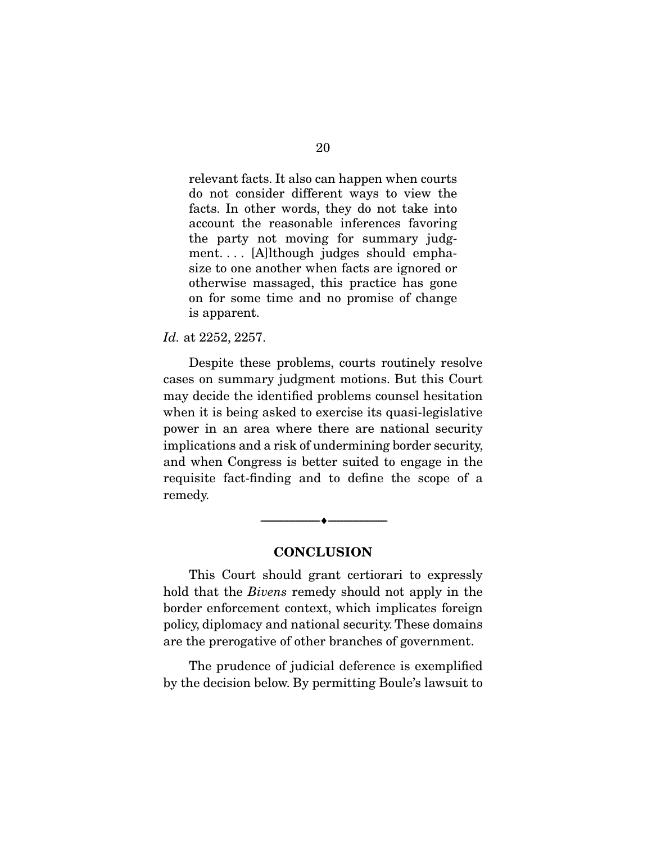relevant facts. It also can happen when courts do not consider different ways to view the facts. In other words, they do not take into account the reasonable inferences favoring the party not moving for summary judgment. . . . [A]lthough judges should emphasize to one another when facts are ignored or otherwise massaged, this practice has gone on for some time and no promise of change is apparent.

*Id.* at 2252, 2257.

 Despite these problems, courts routinely resolve cases on summary judgment motions. But this Court may decide the identified problems counsel hesitation when it is being asked to exercise its quasi-legislative power in an area where there are national security implications and a risk of undermining border security, and when Congress is better suited to engage in the requisite fact-finding and to define the scope of a remedy.

### **CONCLUSION**

--------------------------------- ♦ ---------------------------------

 This Court should grant certiorari to expressly hold that the *Bivens* remedy should not apply in the border enforcement context, which implicates foreign policy, diplomacy and national security. These domains are the prerogative of other branches of government.

 The prudence of judicial deference is exemplified by the decision below. By permitting Boule's lawsuit to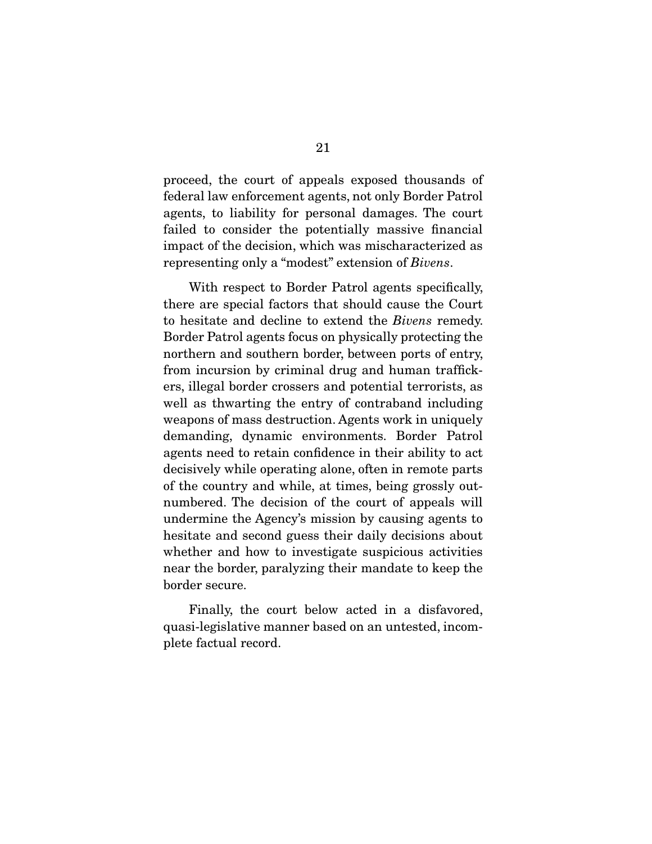proceed, the court of appeals exposed thousands of federal law enforcement agents, not only Border Patrol agents, to liability for personal damages. The court failed to consider the potentially massive financial impact of the decision, which was mischaracterized as representing only a "modest" extension of *Bivens*.

 With respect to Border Patrol agents specifically, there are special factors that should cause the Court to hesitate and decline to extend the *Bivens* remedy. Border Patrol agents focus on physically protecting the northern and southern border, between ports of entry, from incursion by criminal drug and human traffickers, illegal border crossers and potential terrorists, as well as thwarting the entry of contraband including weapons of mass destruction. Agents work in uniquely demanding, dynamic environments. Border Patrol agents need to retain confidence in their ability to act decisively while operating alone, often in remote parts of the country and while, at times, being grossly outnumbered. The decision of the court of appeals will undermine the Agency's mission by causing agents to hesitate and second guess their daily decisions about whether and how to investigate suspicious activities near the border, paralyzing their mandate to keep the border secure.

 Finally, the court below acted in a disfavored, quasi-legislative manner based on an untested, incomplete factual record.